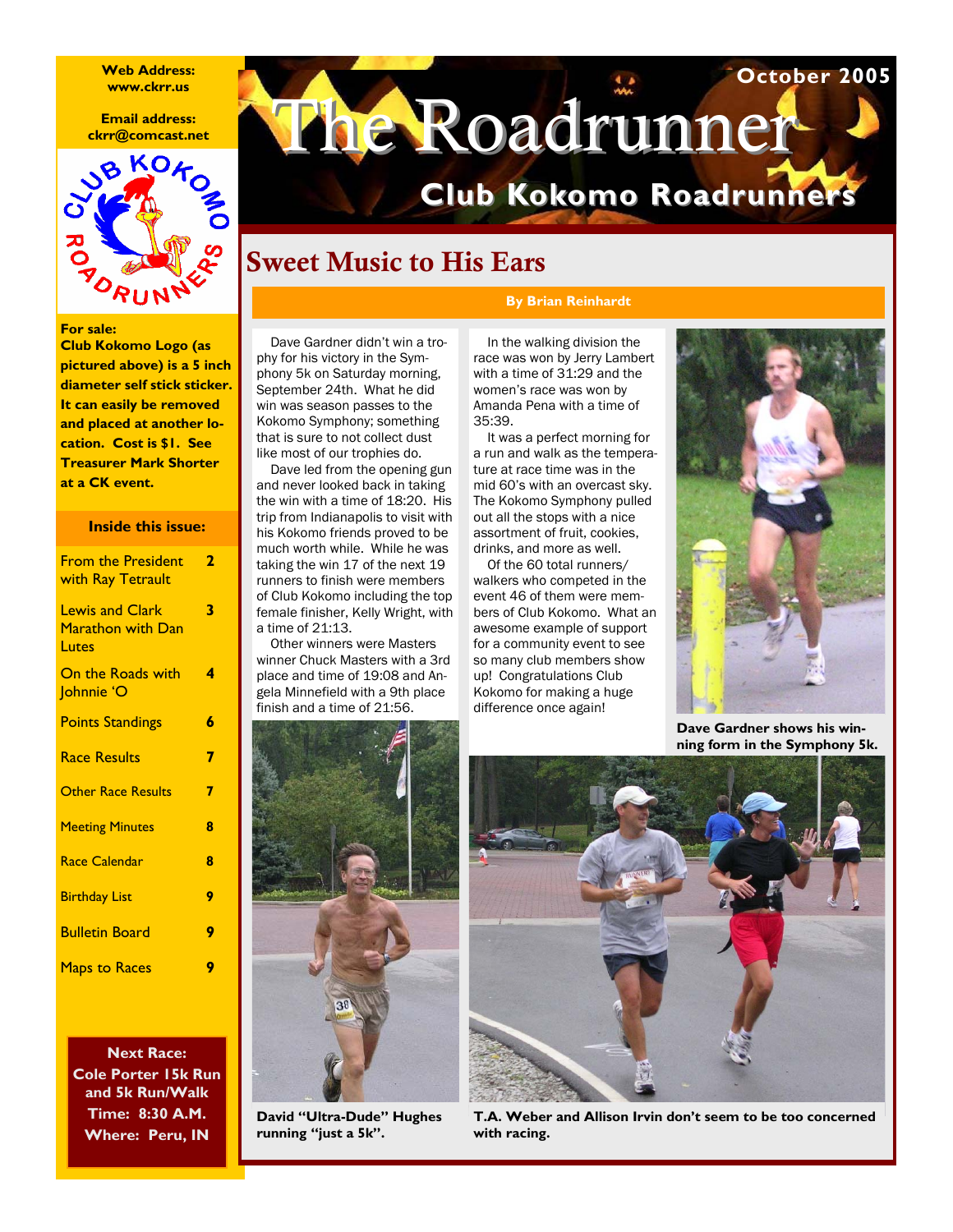**Web Address: www.ckrr.us** 

**Email address:** 



#### **For sale:**

**Club Kokomo Logo (as pictured above) is a 5 inch diameter self stick sticker. It can easily be removed and placed at another location. Cost is \$1. See Treasurer Mark Shorter at a CK event.** 

**Inside this issue:** 

| <b>From the President</b><br>with Ray Tetrault              | 2 |
|-------------------------------------------------------------|---|
| <b>Lewis and Clark</b><br><u>Marathon with Dan</u><br>Lutes | 3 |
| On the Roads with<br>Johnnie 'O                             | 4 |
| <b>Points Standings</b>                                     | 6 |
| <b>Race Results</b>                                         | 7 |
| <b>Other Race Results</b>                                   | 7 |
| <b>Meeting Minutes</b>                                      | 8 |
| <b>Race Calendar</b>                                        | 8 |
| <b>Birthday List</b>                                        | 9 |
| <b>Bulletin Board</b>                                       | 9 |
| <b>Maps to Races</b>                                        | 9 |

**Next Race: Cole Porter 15k Run and 5k Run/Walk Time: 8:30 A.M. Where: Peru, IN** 

# **October 2005 Club Kokomo Roadrunners Club Kokomo Roadrunners** The Roadrunner

## Sweet Music to His Ears

### **By Brian Reinhardt**

Dave Gardner didn't win a trophy for his victory in the Symphony 5k on Saturday morning, September 24th. What he did win was season passes to the Kokomo Symphony; something that is sure to not collect dust like most of our trophies do.

Dave led from the opening gun and never looked back in taking the win with a time of 18:20. His trip from Indianapolis to visit with his Kokomo friends proved to be much worth while. While he was taking the win 17 of the next 19 runners to finish were members of Club Kokomo including the top female finisher, Kelly Wright, with a time of 21:13.

Other winners were Masters winner Chuck Masters with a 3rd place and time of 19:08 and Angela Minnefield with a 9th place finish and a time of 21:56.

In the walking division the race was won by Jerry Lambert with a time of 31:29 and the women's race was won by Amanda Pena with a time of 35:39.

It was a perfect morning for a run and walk as the temperature at race time was in the mid 60's with an overcast sky. The Kokomo Symphony pulled out all the stops with a nice assortment of fruit, cookies, drinks, and more as well.

Of the 60 total runners/ walkers who competed in the event 46 of them were members of Club Kokomo. What an awesome example of support for a community event to see so many club members show up! Congratulations Club Kokomo for making a huge difference once again!



**Dave Gardner shows his winning form in the Symphony 5k.** 



**David "Ultra-Dude" Hughes running "just a 5k".** 



**T.A. Weber and Allison Irvin don't seem to be too concerned with racing.**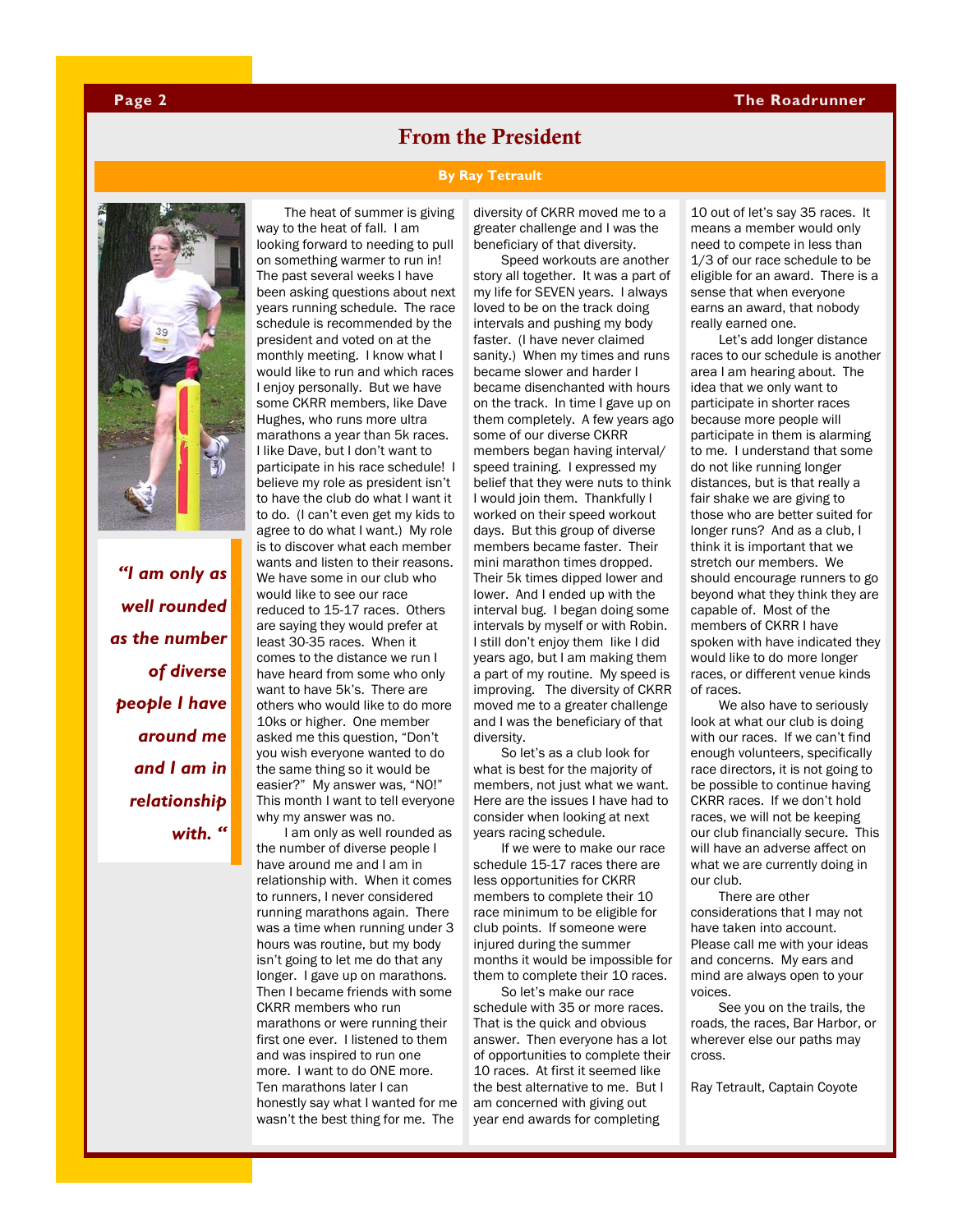#### **Page 2 The Roadrunner**

### From the President

#### **By Ray Tetrault**



*"I am only as well rounded as the number of diverse people I have around me and I am in relationship with. "* 

The heat of summer is giving way to the heat of fall. I am looking forward to needing to pull on something warmer to run in! The past several weeks I have been asking questions about next years running schedule. The race schedule is recommended by the president and voted on at the monthly meeting. I know what I would like to run and which races I enjoy personally. But we have some CKRR members, like Dave Hughes, who runs more ultra marathons a year than 5k races. I like Dave, but I don't want to participate in his race schedule! I believe my role as president isn't to have the club do what I want it to do. (I can't even get my kids to agree to do what I want.) My role is to discover what each member wants and listen to their reasons. We have some in our club who would like to see our race reduced to 15-17 races. Others are saying they would prefer at least 30-35 races. When it comes to the distance we run I have heard from some who only want to have 5k's. There are others who would like to do more 10ks or higher. One member asked me this question, "Don't you wish everyone wanted to do the same thing so it would be easier?" My answer was, "NO!" This month I want to tell everyone why my answer was no. I am only as well rounded as

the number of diverse people I have around me and I am in relationship with. When it comes to runners, I never considered running marathons again. There was a time when running under 3 hours was routine, but my body isn't going to let me do that any longer. I gave up on marathons. Then I became friends with some CKRR members who run marathons or were running their first one ever. I listened to them and was inspired to run one more. I want to do ONE more. Ten marathons later I can honestly say what I wanted for me wasn't the best thing for me. The

diversity of CKRR moved me to a greater challenge and I was the beneficiary of that diversity.

Speed workouts are another story all together. It was a part of my life for SEVEN years. I always loved to be on the track doing intervals and pushing my body faster. (I have never claimed sanity.) When my times and runs became slower and harder I became disenchanted with hours on the track. In time I gave up on them completely. A few years ago some of our diverse CKRR members began having interval/ speed training. I expressed my belief that they were nuts to think I would join them. Thankfully I worked on their speed workout days. But this group of diverse members became faster. Their mini marathon times dropped. Their 5k times dipped lower and lower. And I ended up with the interval bug. I began doing some intervals by myself or with Robin. I still don't enjoy them like I did years ago, but I am making them a part of my routine. My speed is improving. The diversity of CKRR moved me to a greater challenge and I was the beneficiary of that diversity.

So let's as a club look for what is best for the majority of members, not just what we want. Here are the issues I have had to consider when looking at next years racing schedule.

If we were to make our race schedule 15-17 races there are less opportunities for CKRR members to complete their 10 race minimum to be eligible for club points. If someone were injured during the summer months it would be impossible for them to complete their 10 races.

So let's make our race schedule with 35 or more races. That is the quick and obvious answer. Then everyone has a lot of opportunities to complete their 10 races. At first it seemed like the best alternative to me. But I am concerned with giving out year end awards for completing

10 out of let's say 35 races. It means a member would only need to compete in less than 1/3 of our race schedule to be eligible for an award. There is a sense that when everyone earns an award, that nobody really earned one.

Let's add longer distance races to our schedule is another area I am hearing about. The idea that we only want to participate in shorter races because more people will participate in them is alarming to me. I understand that some do not like running longer distances, but is that really a fair shake we are giving to those who are better suited for longer runs? And as a club, I think it is important that we stretch our members. We should encourage runners to go beyond what they think they are capable of. Most of the members of CKRR I have spoken with have indicated they would like to do more longer races, or different venue kinds of races.

We also have to seriously look at what our club is doing with our races. If we can't find enough volunteers, specifically race directors, it is not going to be possible to continue having CKRR races. If we don't hold races, we will not be keeping our club financially secure. This will have an adverse affect on what we are currently doing in our club.

There are other considerations that I may not have taken into account. Please call me with your ideas and concerns. My ears and mind are always open to your voices.

See you on the trails, the roads, the races, Bar Harbor, or wherever else our paths may cross.

Ray Tetrault, Captain Coyote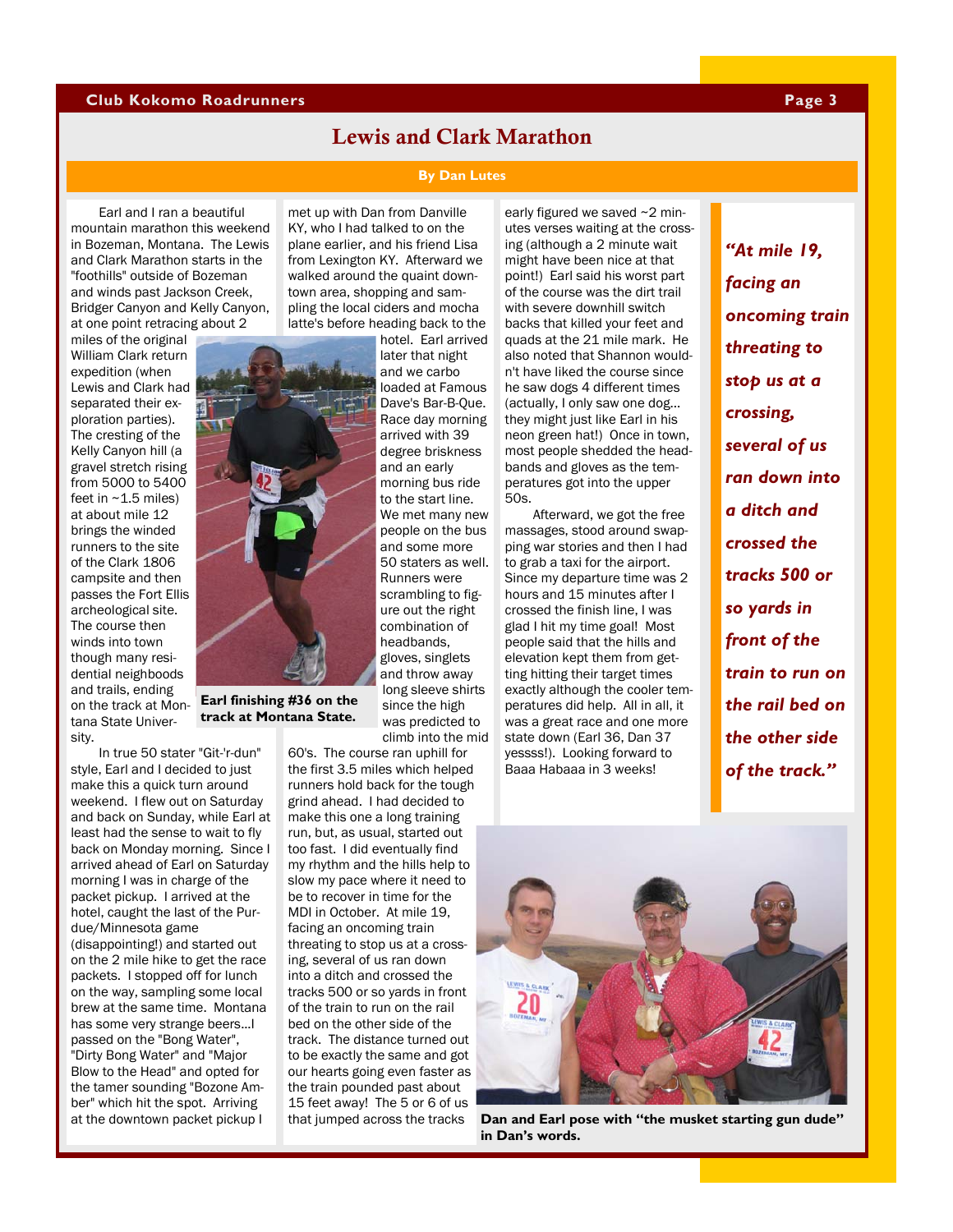## Lewis and Clark Marathon

#### **By Dan Lutes**

Earl and I ran a beautiful mountain marathon this weekend in Bozeman, Montana. The Lewis and Clark Marathon starts in the "foothills" outside of Bozeman and winds past Jackson Creek, Bridger Canyon and Kelly Canyon, at one point retracing about 2

miles of the original William Clark return expedition (when Lewis and Clark had separated their exploration parties). The cresting of the Kelly Canyon hill (a gravel stretch rising from 5000 to 5400 feet in ~1.5 miles) at about mile 12 brings the winded runners to the site of the Clark 1806 campsite and then passes the Fort Ellis archeological site. The course then winds into town though many residential neighboods and trails, ending on the track at Montana State Univer-**Earl finishing #36 on the track at Montana State.** 

In true 50 stater "Git-'r-dun" style, Earl and I decided to just make this a quick turn around weekend. I flew out on Saturday and back on Sunday, while Earl at least had the sense to wait to fly back on Monday morning. Since I arrived ahead of Earl on Saturday morning I was in charge of the packet pickup. I arrived at the hotel, caught the last of the Purdue/Minnesota game (disappointing!) and started out on the 2 mile hike to get the race packets. I stopped off for lunch on the way, sampling some local brew at the same time. Montana has some very strange beers...I passed on the "Bong Water", "Dirty Bong Water" and "Major Blow to the Head" and opted for the tamer sounding "Bozone Amber" which hit the spot. Arriving at the downtown packet pickup I

sity.

met up with Dan from Danville KY, who I had talked to on the plane earlier, and his friend Lisa from Lexington KY. Afterward we walked around the quaint downtown area, shopping and sampling the local ciders and mocha latte's before heading back to the

> hotel. Earl arrived later that night and we carbo loaded at Famous Dave's Bar-B-Que. Race day morning arrived with 39 degree briskness and an early morning bus ride to the start line. We met many new people on the bus and some more 50 staters as well. Runners were scrambling to figure out the right combination of headbands, gloves, singlets and throw away long sleeve shirts since the high was predicted to climb into the mid

60's. The course ran uphill for the first 3.5 miles which helped runners hold back for the tough grind ahead. I had decided to make this one a long training run, but, as usual, started out too fast. I did eventually find my rhythm and the hills help to slow my pace where it need to be to recover in time for the MDI in October. At mile 19, facing an oncoming train threating to stop us at a crossing, several of us ran down into a ditch and crossed the tracks 500 or so yards in front of the train to run on the rail bed on the other side of the track. The distance turned out to be exactly the same and got our hearts going even faster as the train pounded past about 15 feet away! The 5 or 6 of us that jumped across the tracks

early figured we saved ~2 minutes verses waiting at the crossing (although a 2 minute wait might have been nice at that point!) Earl said his worst part of the course was the dirt trail with severe downhill switch backs that killed your feet and quads at the 21 mile mark. He also noted that Shannon wouldn't have liked the course since he saw dogs 4 different times (actually, I only saw one dog... they might just like Earl in his neon green hat!) Once in town, most people shedded the headbands and gloves as the temperatures got into the upper 50s.

Afterward, we got the free massages, stood around swapping war stories and then I had to grab a taxi for the airport. Since my departure time was 2 hours and 15 minutes after I crossed the finish line, I was glad I hit my time goal! Most people said that the hills and elevation kept them from getting hitting their target times exactly although the cooler temperatures did help. All in all, it was a great race and one more state down (Earl 36, Dan 37 yessss!). Looking forward to Baaa Habaaa in 3 weeks!

*"At mile 19, facing an oncoming train threating to stop us at a crossing, several of us ran down into a ditch and crossed the tracks 500 or so yards in front of the train to run on the rail bed on the other side of the track."* 



**Dan and Earl pose with "the musket starting gun dude" in Dan's words.**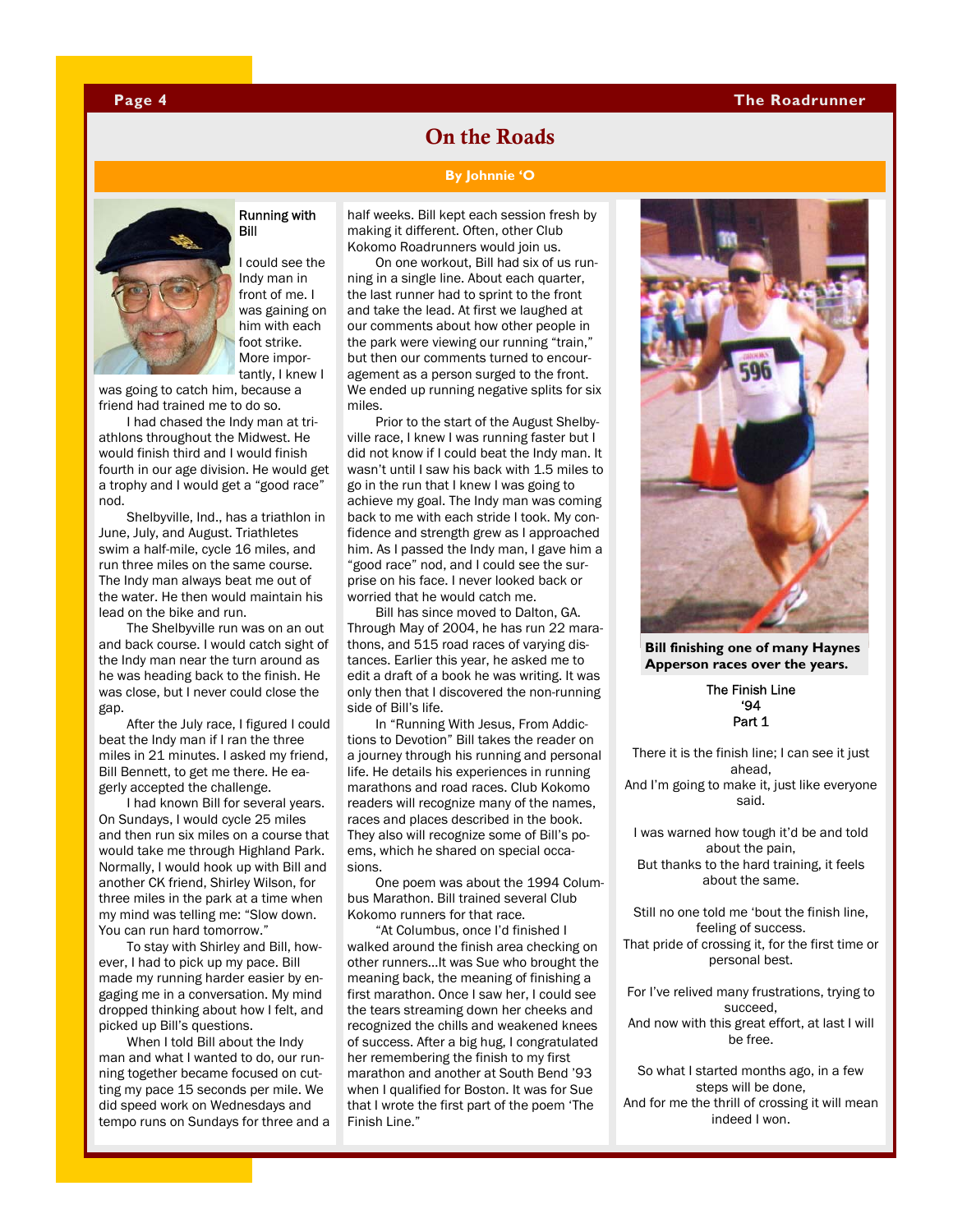### On the Roads

#### **By Johnnie 'O**



### Running with Bill

I could see the Indy man in front of me. I was gaining on him with each foot strike. More importantly, I knew I

was going to catch him, because a friend had trained me to do so.

I had chased the Indy man at triathlons throughout the Midwest. He would finish third and I would finish fourth in our age division. He would get a trophy and I would get a "good race" nod.

Shelbyville, Ind., has a triathlon in June, July, and August. Triathletes swim a half-mile, cycle 16 miles, and run three miles on the same course. The Indy man always beat me out of the water. He then would maintain his lead on the bike and run.

The Shelbyville run was on an out and back course. I would catch sight of the Indy man near the turn around as he was heading back to the finish. He was close, but I never could close the gap.

After the July race, I figured I could beat the Indy man if I ran the three miles in 21 minutes. I asked my friend, Bill Bennett, to get me there. He eagerly accepted the challenge.

I had known Bill for several years. On Sundays, I would cycle 25 miles and then run six miles on a course that would take me through Highland Park. Normally, I would hook up with Bill and another CK friend, Shirley Wilson, for three miles in the park at a time when my mind was telling me: "Slow down. You can run hard tomorrow."

To stay with Shirley and Bill, however, I had to pick up my pace. Bill made my running harder easier by engaging me in a conversation. My mind dropped thinking about how I felt, and picked up Bill's questions.

When I told Bill about the Indy man and what I wanted to do, our running together became focused on cutting my pace 15 seconds per mile. We did speed work on Wednesdays and tempo runs on Sundays for three and a half weeks. Bill kept each session fresh by making it different. Often, other Club Kokomo Roadrunners would join us.

On one workout, Bill had six of us running in a single line. About each quarter, the last runner had to sprint to the front and take the lead. At first we laughed at our comments about how other people in the park were viewing our running "train," but then our comments turned to encouragement as a person surged to the front. We ended up running negative splits for six miles.

Prior to the start of the August Shelbyville race, I knew I was running faster but I did not know if I could beat the Indy man. It wasn't until I saw his back with 1.5 miles to go in the run that I knew I was going to achieve my goal. The Indy man was coming back to me with each stride I took. My confidence and strength grew as I approached him. As I passed the Indy man, I gave him a "good race" nod, and I could see the surprise on his face. I never looked back or worried that he would catch me.

Bill has since moved to Dalton, GA. Through May of 2004, he has run 22 marathons, and 515 road races of varying distances. Earlier this year, he asked me to edit a draft of a book he was writing. It was only then that I discovered the non-running side of Bill's life.

In "Running With Jesus, From Addictions to Devotion" Bill takes the reader on a journey through his running and personal life. He details his experiences in running marathons and road races. Club Kokomo readers will recognize many of the names, races and places described in the book. They also will recognize some of Bill's poems, which he shared on special occasions.

One poem was about the 1994 Columbus Marathon. Bill trained several Club Kokomo runners for that race.

"At Columbus, once I'd finished I walked around the finish area checking on other runners…It was Sue who brought the meaning back, the meaning of finishing a first marathon. Once I saw her, I could see the tears streaming down her cheeks and recognized the chills and weakened knees of success. After a big hug, I congratulated her remembering the finish to my first marathon and another at South Bend '93 when I qualified for Boston. It was for Sue that I wrote the first part of the poem 'The Finish Line."



**Bill finishing one of many Haynes Apperson races over the years.** 

The Finish Line '94 Part 1

There it is the finish line; I can see it just ahead, And I'm going to make it, just like everyone said.

I was warned how tough it'd be and told about the pain, But thanks to the hard training, it feels about the same.

Still no one told me 'bout the finish line, feeling of success. That pride of crossing it, for the first time or personal best.

For I've relived many frustrations, trying to succeed, And now with this great effort, at last I will be free.

So what I started months ago, in a few steps will be done, And for me the thrill of crossing it will mean indeed I won.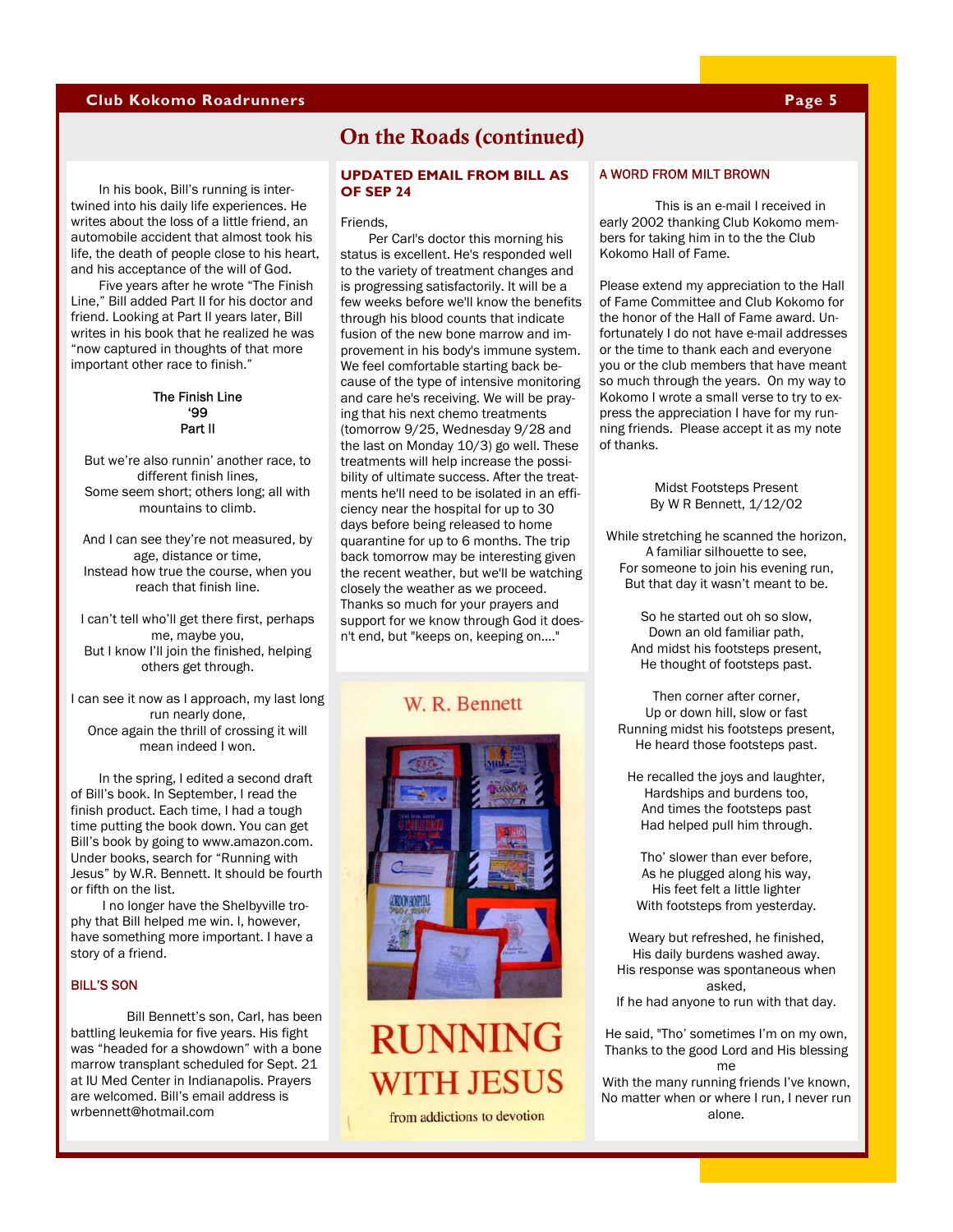In his book, Bill's running is intertwined into his daily life experiences. He writes about the loss of a little friend, an automobile accident that almost took his life, the death of people close to his heart, and his acceptance of the will of God.

Five years after he wrote "The Finish Line," Bill added Part II for his doctor and friend. Looking at Part II years later, Bill writes in his book that he realized he was "now captured in thoughts of that more important other race to finish."

#### The Finish Line '99 Part II

But we're also runnin' another race, to different finish lines, Some seem short; others long; all with mountains to climb.

And I can see they're not measured, by age, distance or time, Instead how true the course, when you reach that finish line.

I can't tell who'll get there first, perhaps me, maybe you, But I know I'll join the finished, helping others get through.

I can see it now as I approach, my last long run nearly done, Once again the thrill of crossing it will mean indeed I won.

In the spring, I edited a second draft of Bill's book. In September, I read the finish product. Each time, I had a tough time putting the book down. You can get Bill's book by going to www.amazon.com. Under books, search for "Running with Jesus" by W.R. Bennett. It should be fourth or fifth on the list.

 I no longer have the Shelbyville trophy that Bill helped me win. I, however, have something more important. I have a story of a friend.

### BILL'S SON

 Bill Bennett's son, Carl, has been battling leukemia for five years. His fight was "headed for a showdown" with a bone marrow transplant scheduled for Sept. 21 at IU Med Center in Indianapolis. Prayers are welcomed. Bill's email address is wrbennett@hotmail.com

## On the Roads (continued)

#### **UPDATED EMAIL FROM BILL AS OF SEP 24**

Friends,

Per Carl's doctor this morning his status is excellent. He's responded well to the variety of treatment changes and is progressing satisfactorily. It will be a few weeks before we'll know the benefits through his blood counts that indicate fusion of the new bone marrow and improvement in his body's immune system. We feel comfortable starting back because of the type of intensive monitoring and care he's receiving. We will be praying that his next chemo treatments (tomorrow 9/25, Wednesday 9/28 and the last on Monday 10/3) go well. These treatments will help increase the possibility of ultimate success. After the treatments he'll need to be isolated in an efficiency near the hospital for up to 30 days before being released to home quarantine for up to 6 months. The trip back tomorrow may be interesting given the recent weather, but we'll be watching closely the weather as we proceed. Thanks so much for your prayers and support for we know through God it doesn't end, but "keeps on, keeping on...."

### W. R. Bennett



# **RUNNING WITH JESUS**

from addictions to devotion

#### A WORD FROM MILT BROWN

This is an e-mail I received in early 2002 thanking Club Kokomo members for taking him in to the the Club Kokomo Hall of Fame.

Please extend my appreciation to the Hall of Fame Committee and Club Kokomo for the honor of the Hall of Fame award. Unfortunately I do not have e-mail addresses or the time to thank each and everyone you or the club members that have meant so much through the years. On my way to Kokomo I wrote a small verse to try to express the appreciation I have for my running friends. Please accept it as my note of thanks.

> Midst Footsteps Present By W R Bennett, 1/12/02

While stretching he scanned the horizon, A familiar silhouette to see, For someone to join his evening run, But that day it wasn't meant to be.

So he started out oh so slow, Down an old familiar path, And midst his footsteps present, He thought of footsteps past.

Then corner after corner, Up or down hill, slow or fast Running midst his footsteps present, He heard those footsteps past.

He recalled the joys and laughter, Hardships and burdens too, And times the footsteps past Had helped pull him through.

Tho' slower than ever before, As he plugged along his way, His feet felt a little lighter With footsteps from yesterday.

Weary but refreshed, he finished, His daily burdens washed away. His response was spontaneous when asked, If he had anyone to run with that day.

He said, "Tho' sometimes I'm on my own, Thanks to the good Lord and His blessing me With the many running friends I've known, No matter when or where I run, I never run alone.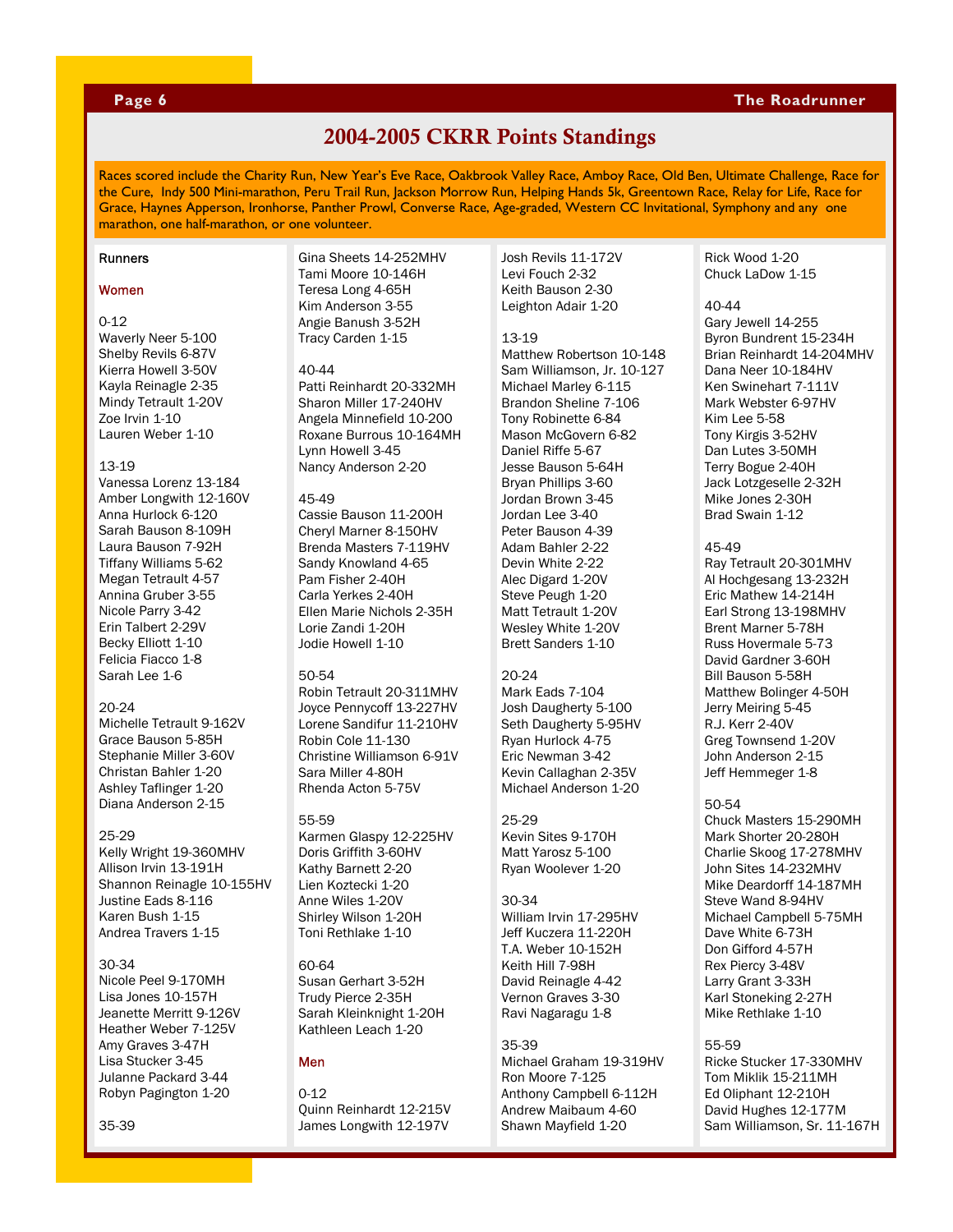#### **Page 6** The Roadrunner  $\mathbf{r} = \mathbf{r} \cdot \mathbf{r}$  and  $\mathbf{r} = \mathbf{r} \cdot \mathbf{r}$  and  $\mathbf{r} = \mathbf{r} \cdot \mathbf{r}$  and  $\mathbf{r} = \mathbf{r} \cdot \mathbf{r}$  and  $\mathbf{r} = \mathbf{r} \cdot \mathbf{r}$  and  $\mathbf{r} = \mathbf{r} \cdot \mathbf{r}$  and  $\mathbf{r} = \mathbf{r} \cdot \mathbf{r}$  and  $\$

## 2004-2005 CKRR Points Standings

Races scored include the Charity Run, New Year's Eve Race, Oakbrook Valley Race, Amboy Race, Old Ben, Ultimate Challenge, Race for the Cure, Indy 500 Mini-marathon, Peru Trail Run, Jackson Morrow Run, Helping Hands 5k, Greentown Race, Relay for Life, Race for Grace, Haynes Apperson, Ironhorse, Panther Prowl, Converse Race, Age-graded, Western CC Invitational, Symphony and any one marathon, one half-marathon, or one volunteer.

#### Runners

### Women

#### $0 - 12$

Waverly Neer 5-100 Shelby Revils 6-87V Kierra Howell 3-50V Kayla Reinagle 2-35 Mindy Tetrault 1-20V Zoe Irvin 1-10 Lauren Weber 1-10

#### 13-19

Vanessa Lorenz 13-184 Amber Longwith 12-160V Anna Hurlock 6-120 Sarah Bauson 8-109H Laura Bauson 7-92H Tiffany Williams 5-62 Megan Tetrault 4-57 Annina Gruber 3-55 Nicole Parry 3-42 Erin Talbert 2-29V Becky Elliott 1-10 Felicia Fiacco 1-8 Sarah Lee 1-6

#### 20-24

Michelle Tetrault 9-162V Grace Bauson 5-85H Stephanie Miller 3-60V Christan Bahler 1-20 Ashley Taflinger 1-20 Diana Anderson 2-15

#### 25-29

Kelly Wright 19-360MHV Allison Irvin 13-191H Shannon Reinagle 10-155HV Justine Eads 8-116 Karen Bush 1-15 Andrea Travers 1-15

### 30-34

Nicole Peel 9-170MH Lisa Jones 10-157H Jeanette Merritt 9-126V Heather Weber 7-125V Amy Graves 3-47H Lisa Stucker 3-45 Julanne Packard 3-44 Robyn Pagington 1-20

35-39

Gina Sheets 14-252MHV Tami Moore 10-146H Teresa Long 4-65H Kim Anderson 3-55 Angie Banush 3-52H Tracy Carden 1-15

#### 40-44

Patti Reinhardt 20-332MH Sharon Miller 17-240HV Angela Minnefield 10-200 Roxane Burrous 10-164MH Lynn Howell 3-45 Nancy Anderson 2-20

#### 45-49

Cassie Bauson 11-200H Cheryl Marner 8-150HV Brenda Masters 7-119HV Sandy Knowland 4-65 Pam Fisher 2-40H Carla Yerkes 2-40H Ellen Marie Nichols 2-35H Lorie Zandi 1-20H Jodie Howell 1-10

#### 50-54

Robin Tetrault 20-311MHV Joyce Pennycoff 13-227HV Lorene Sandifur 11-210HV Robin Cole 11-130 Christine Williamson 6-91V Sara Miller 4-80H Rhenda Acton 5-75V

#### 55-59

Karmen Glaspy 12-225HV Doris Griffith 3-60HV Kathy Barnett 2-20 Lien Koztecki 1-20 Anne Wiles 1-20V Shirley Wilson 1-20H Toni Rethlake 1-10

#### 60-64

Susan Gerhart 3-52H Trudy Pierce 2-35H Sarah Kleinknight 1-20H Kathleen Leach 1-20

### Men

 $0.12$ 

Quinn Reinhardt 12-215V James Longwith 12-197V

Josh Revils 11-172V Levi Fouch 2-32 Keith Bauson 2-30 Leighton Adair 1-20

#### 13-19

Matthew Robertson 10-148 Sam Williamson, Jr. 10-127 Michael Marley 6-115 Brandon Sheline 7-106 Tony Robinette 6-84 Mason McGovern 6-82 Daniel Riffe 5-67 Jesse Bauson 5-64H Bryan Phillips 3-60 Jordan Brown 3-45 Jordan Lee 3-40 Peter Bauson 4-39 Adam Bahler 2-22 Devin White 2-22 Alec Digard 1-20V Steve Peugh 1-20 Matt Tetrault 1-20V Wesley White 1-20V Brett Sanders 1-10

### 20-24

Mark Eads 7-104 Josh Daugherty 5-100 Seth Daugherty 5-95HV Ryan Hurlock 4-75 Eric Newman 3-42 Kevin Callaghan 2-35V Michael Anderson 1-20

#### 25.29

Kevin Sites 9-170H Matt Yarosz 5-100 Ryan Woolever 1-20

#### 30-34

William Irvin 17-295HV Jeff Kuczera 11-220H T.A. Weber 10-152H Keith Hill 7-98H David Reinagle 4-42 Vernon Graves 3-30 Ravi Nagaragu 1-8

### 35-39

Michael Graham 19-319HV Ron Moore 7-125 Anthony Campbell 6-112H Andrew Maibaum 4-60 Shawn Mayfield 1-20

Rick Wood 1-20 Chuck LaDow 1-15

### 40-44

Gary Jewell 14-255 Byron Bundrent 15-234H Brian Reinhardt 14-204MHV Dana Neer 10-184HV Ken Swinehart 7-111V Mark Webster 6-97HV Kim Lee 5-58 Tony Kirgis 3-52HV Dan Lutes 3-50MH Terry Bogue 2-40H Jack Lotzgeselle 2-32H Mike Jones 2-30H Brad Swain 1-12

#### 45-49

Ray Tetrault 20-301MHV Al Hochgesang 13-232H Eric Mathew 14-214H Earl Strong 13-198MHV Brent Marner 5-78H Russ Hovermale 5-73 David Gardner 3-60H Bill Bauson 5-58H Matthew Bolinger 4-50H Jerry Meiring 5-45 R.J. Kerr 2-40V Greg Townsend 1-20V John Anderson 2-15 Jeff Hemmeger 1-8

#### 50-54

Chuck Masters 15-290MH Mark Shorter 20-280H Charlie Skoog 17-278MHV John Sites 14-232MHV Mike Deardorff 14-187MH Steve Wand 8-94HV Michael Campbell 5-75MH Dave White 6-73H Don Gifford 4-57H Rex Piercy 3-48V Larry Grant 3-33H Karl Stoneking 2-27H Mike Rethlake 1-10

## 55-59

Ricke Stucker 17-330MHV Tom Miklik 15-211MH Ed Oliphant 12-210H David Hughes 12-177M Sam Williamson, Sr. 11-167H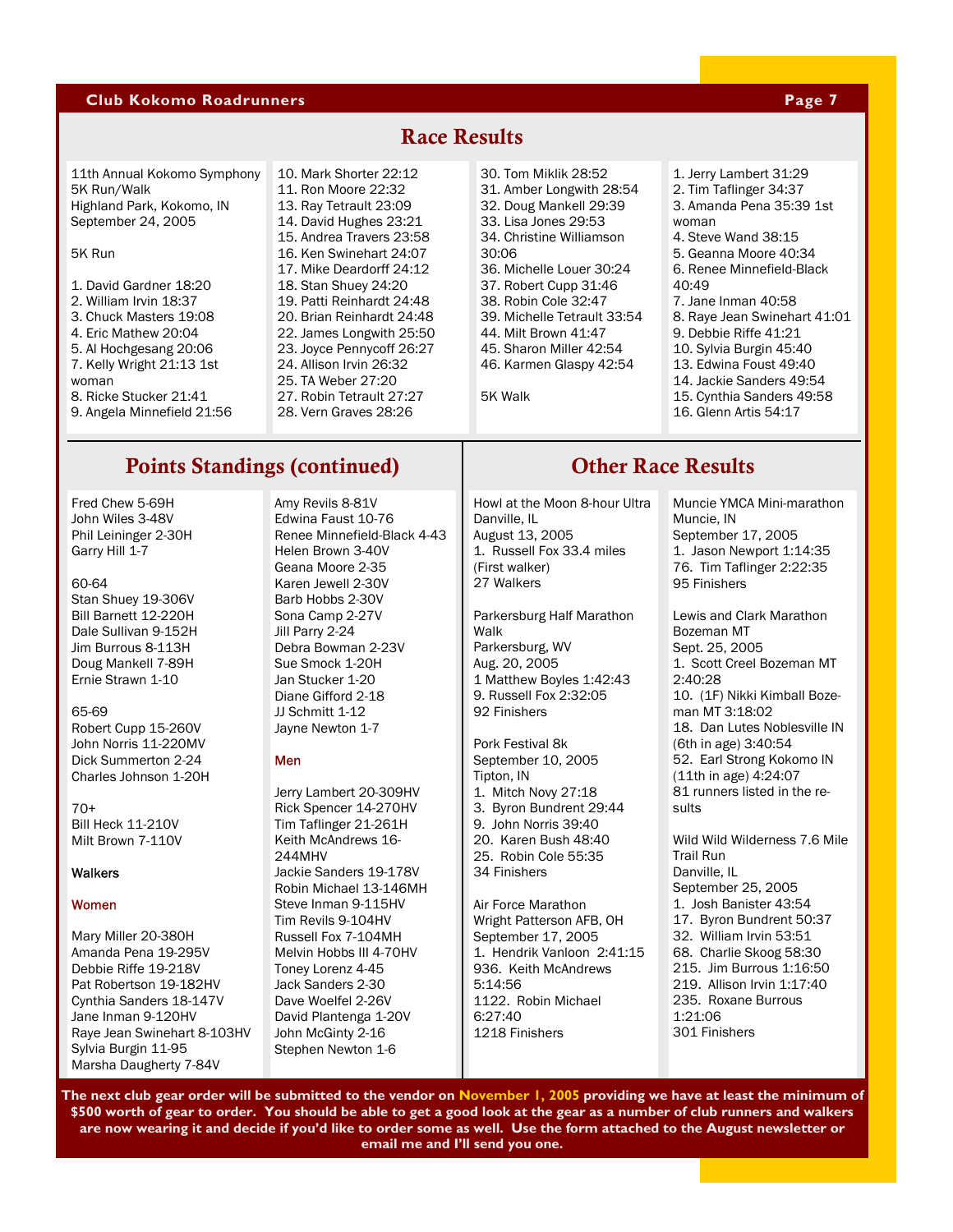### Race Results

#### 5K Run

1. David Gardner 18:20 2. William Irvin 18:37 3. Chuck Masters 19:08 4. Eric Mathew 20:04 5. Al Hochgesang 20:06 7. Kelly Wright 21:13 1st woman 8. Ricke Stucker 21:41

9. Angela Minnefield 21:56

10. Mark Shorter 22:12 11. Ron Moore 22:32 13. Ray Tetrault 23:09 14. David Hughes 23:21 15. Andrea Travers 23:58 16. Ken Swinehart 24:07 17. Mike Deardorff 24:12 18. Stan Shuey 24:20 19. Patti Reinhardt 24:48 20. Brian Reinhardt 24:48 22. James Longwith 25:50 23. Joyce Pennycoff 26:27 24. Allison Irvin 26:32 25. TA Weber 27:20 27. Robin Tetrault 27:27 28. Vern Graves 28:26

30. Tom Miklik 28:52 31. Amber Longwith 28:54 32. Doug Mankell 29:39 33. Lisa Jones 29:53 34. Christine Williamson 30:06 36. Michelle Louer 30:24 37. Robert Cupp 31:46 38. Robin Cole 32:47 39. Michelle Tetrault 33:54 44. Milt Brown 41:47

45. Sharon Miller 42:54

46. Karmen Glaspy 42:54

Howl at the Moon 8-hour Ultra

5K Walk

2. Tim Taflinger 34:37 3. Amanda Pena 35:39 1st woman 4. Steve Wand 38:15 5. Geanna Moore 40:34 6. Renee Minnefield-Black 40:49 7. Jane Inman 40:58 8. Raye Jean Swinehart 41:01 9. Debbie Riffe 41:21 10. Sylvia Burgin 45:40

1. Jerry Lambert 31:29

13. Edwina Foust 49:40

14. Jackie Sanders 49:54

15. Cynthia Sanders 49:58

16. Glenn Artis 54:17

## Points Standings (continued)

Fred Chew 5-69H John Wiles 3-48V Phil Leininger 2-30H Garry Hill 1-7

#### 60-64

Stan Shuey 19-306V Bill Barnett 12-220H Dale Sullivan 9-152H Jim Burrous 8-113H Doug Mankell 7-89H Ernie Strawn 1-10

#### 65-69

Robert Cupp 15-260V John Norris 11-220MV Dick Summerton 2-24 Charles Johnson 1-20H

70+

Bill Heck 11-210V Milt Brown 7-110V

#### **Walkers**

#### **Women**

Mary Miller 20-380H Amanda Pena 19-295V Debbie Riffe 19-218V Pat Robertson 19-182HV Cynthia Sanders 18-147V Jane Inman 9-120HV Raye Jean Swinehart 8-103HV Sylvia Burgin 11-95 Marsha Daugherty 7-84V

Amy Revils 8-81V Edwina Faust 10-76 Renee Minnefield-Black 4-43 Helen Brown 3-40V Geana Moore 2-35 Karen Jewell 2-30V Barb Hobbs 2-30V Sona Camp 2-27V Jill Parry 2-24 Debra Bowman 2-23V Sue Smock 1-20H Jan Stucker 1-20 Diane Gifford 2-18 JJ Schmitt 1-12 Jayne Newton 1-7

#### Men

Jerry Lambert 20-309HV Rick Spencer 14-270HV Tim Taflinger 21-261H Keith McAndrews 16- 244MHV Jackie Sanders 19-178V Robin Michael 13-146MH Steve Inman 9-115HV Tim Revils 9-104HV Russell Fox 7-104MH Melvin Hobbs III 4-70HV Toney Lorenz 4-45 Jack Sanders 2-30 Dave Woelfel 2-26V David Plantenga 1-20V John McGinty 2-16 Stephen Newton 1-6

Danville, IL August 13, 2005 1. Russell Fox 33.4 miles (First walker) 27 Walkers Parkersburg Half Marathon Walk Parkersburg, WV Aug. 20, 2005 1 Matthew Boyles 1:42:43

92 Finishers

Pork Festival 8k September 10, 2005 Tipton, IN 1. Mitch Novy 27:18 3. Byron Bundrent 29:44 9. John Norris 39:40 20. Karen Bush 48:40 25. Robin Cole 55:35 34 Finishers

9. Russell Fox 2:32:05

Air Force Marathon Wright Patterson AFB, OH September 17, 2005 1. Hendrik Vanloon 2:41:15 936. Keith McAndrews 5:14:56 1122. Robin Michael 6:27:40 1218 Finishers

## Other Race Results

Muncie YMCA Mini-marathon Muncie, IN September 17, 2005 1. Jason Newport 1:14:35 76. Tim Taflinger 2:22:35 95 Finishers

Lewis and Clark Marathon Bozeman MT Sept. 25, 2005 1. Scott Creel Bozeman MT 2:40:28 10. (1F) Nikki Kimball Bozeman MT 3:18:02 18. Dan Lutes Noblesville IN (6th in age) 3:40:54 52. Earl Strong Kokomo IN (11th in age) 4:24:07 81 runners listed in the results

Wild Wild Wilderness 7.6 Mile Trail Run Danville, IL September 25, 2005 1. Josh Banister 43:54 17. Byron Bundrent 50:37 32. William Irvin 53:51 68. Charlie Skoog 58:30 215. Jim Burrous 1:16:50 219. Allison Irvin 1:17:40 235. Roxane Burrous 1:21:06 301 Finishers

**The next club gear order will be submitted to the vendor on November 1, 2005 providing we have at least the minimum of \$500 worth of gear to order. You should be able to get a good look at the gear as a number of club runners and walkers are now wearing it and decide if you'd like to order some as well. Use the form attached to the August newsletter or email me and I'll send you one.**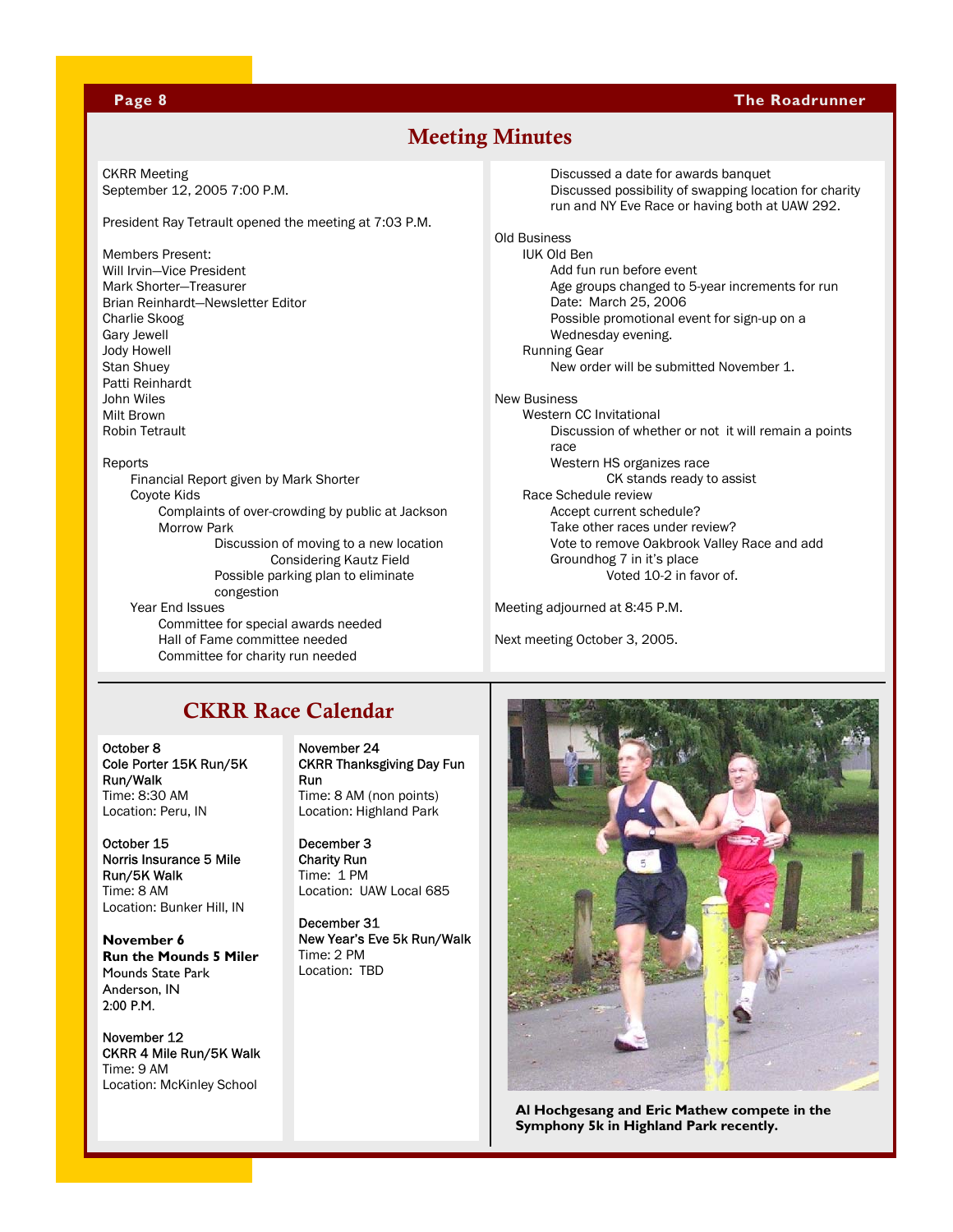#### **Page 8 The Roadrunner**

### Meeting Minutes

Old Business IUK Old Ben

CKRR Meeting September 12, 2005 7:00 P.M.

President Ray Tetrault opened the meeting at 7:03 P.M.

Members Present: Will Irvin—Vice President Mark Shorter—Treasurer Brian Reinhardt—Newsletter Editor Charlie Skoog Gary Jewell Jody Howell Stan Shuey Patti Reinhardt John Wiles Milt Brown Robin Tetrault

#### Reports

 Financial Report given by Mark Shorter Coyote Kids Complaints of over-crowding by public at Jackson Morrow Park Discussion of moving to a new location Considering Kautz Field Possible parking plan to eliminate congestion Year End Issues Committee for special awards needed

 Wednesday evening. Running Gear New order will be submitted November 1. New Business Western CC Invitational Discussion of whether or not it will remain a points race Western HS organizes race CK stands ready to assist Race Schedule review Accept current schedule? Take other races under review? Vote to remove Oakbrook Valley Race and add Groundhog 7 in it's place Voted 10-2 in favor of.

Add fun run before event

Date: March 25, 2006

Discussed a date for awards banquet

 Discussed possibility of swapping location for charity run and NY Eve Race or having both at UAW 292.

Age groups changed to 5-year increments for run

Possible promotional event for sign-up on a

Meeting adjourned at 8:45 P.M.

Next meeting October 3, 2005.

### CKRR Race Calendar

 Hall of Fame committee needed Committee for charity run needed

October 8 Cole Porter 15K Run/5K Run/Walk Time: 8:30 AM Location: Peru, IN

October 15 Norris Insurance 5 Mile Run/5K Walk Time: 8 AM Location: Bunker Hill, IN

**November 6 Run the Mounds 5 Miler**  Mounds State Park Anderson, IN 2:00 P.M.

November 12 CKRR 4 Mile Run/5K Walk Time: 9 AM Location: McKinley School

November 24 CKRR Thanksgiving Day Fun Run Time: 8 AM (non points) Location: Highland Park

December 3 Charity Run Time: 1 PM Location: UAW Local 685

December 31 New Year's Eve 5k Run/Walk Time: 2 PM Location: TBD



**Al Hochgesang and Eric Mathew compete in the Symphony 5k in Highland Park recently.**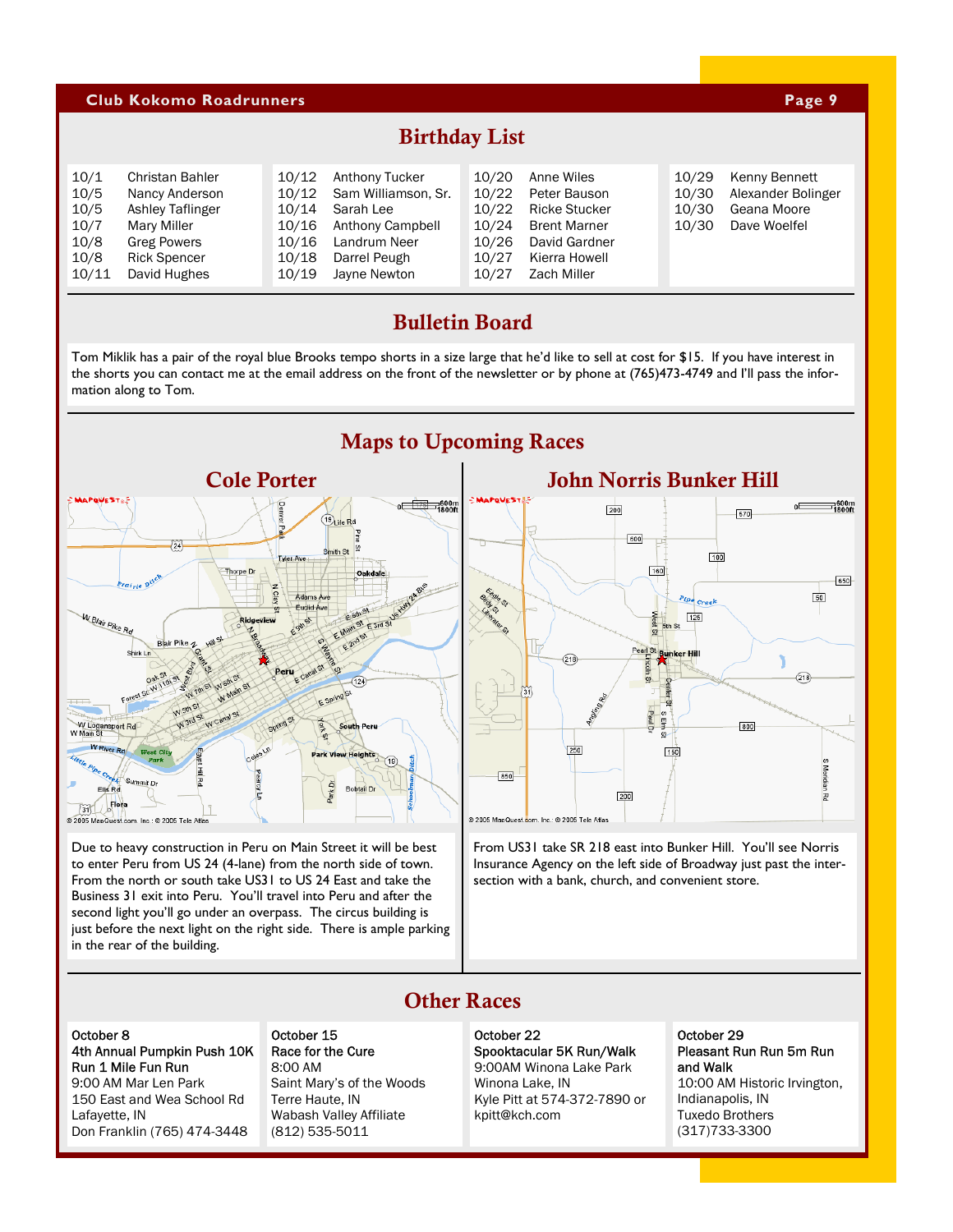## Birthday List

| 10/1<br>10/5<br>10/5<br>10/7<br>10/8<br>10/8<br>10/11 | Christan Bahler<br>Nancy Anderson<br>Ashley Taflinger<br>Mary Miller<br><b>Greg Powers</b><br><b>Rick Spencer</b><br>David Hughes | 10/16<br>10/18<br>10/19 | 10/12 Anthony Tucker<br>10/12 Sam Williamson, Sr.<br>10/14 Sarah Lee<br>10/16 Anthony Campbell<br>Landrum Neer<br>Darrel Peugh<br>Jayne Newton | 10/20<br>10/22<br>10/22<br>10/24<br>10/26<br>10/27<br>10/27 | Anne Wiles<br>Peter Bauson<br>Ricke Stucker<br><b>Brent Marner</b><br>David Gardner<br>Kierra Howell<br>Zach Miller | 10/29<br>10/30<br>10/30<br>10/30 | Kenny Bennett<br>Alexander Bolinger<br>Geana Moore<br>Dave Woelfel |
|-------------------------------------------------------|-----------------------------------------------------------------------------------------------------------------------------------|-------------------------|------------------------------------------------------------------------------------------------------------------------------------------------|-------------------------------------------------------------|---------------------------------------------------------------------------------------------------------------------|----------------------------------|--------------------------------------------------------------------|
|-------------------------------------------------------|-----------------------------------------------------------------------------------------------------------------------------------|-------------------------|------------------------------------------------------------------------------------------------------------------------------------------------|-------------------------------------------------------------|---------------------------------------------------------------------------------------------------------------------|----------------------------------|--------------------------------------------------------------------|

## Bulletin Board

Tom Miklik has a pair of the royal blue Brooks tempo shorts in a size large that he'd like to sell at cost for \$15. If you have interest in the shorts you can contact me at the email address on the front of the newsletter or by phone at (765)473-4749 and I'll pass the information along to Tom.



Business 31 exit into Peru. You'll travel into Peru and after the second light you'll go under an overpass. The circus building is just before the next light on the right side. There is ample parking in the rear of the building.

Other Races

#### October 8 4th Annual Pumpkin Push 10K Run 1 Mile Fun Run 9:00 AM Mar Len Park 150 East and Wea School Rd Lafayette, IN Don Franklin (765) 474-3448

#### October 15 Race for the Cure

8:00 AM Saint Mary's of the Woods Terre Haute, IN Wabash Valley Affiliate (812) 535-5011

### October 22

Spooktacular 5K Run/Walk 9:00AM Winona Lake Park Winona Lake, IN Kyle Pitt at 574-372-7890 or kpitt@kch.com

#### October 29 Pleasant Run Run 5m Run and Walk 10:00 AM Historic Irvington, Indianapolis, IN Tuxedo Brothers (317)733-3300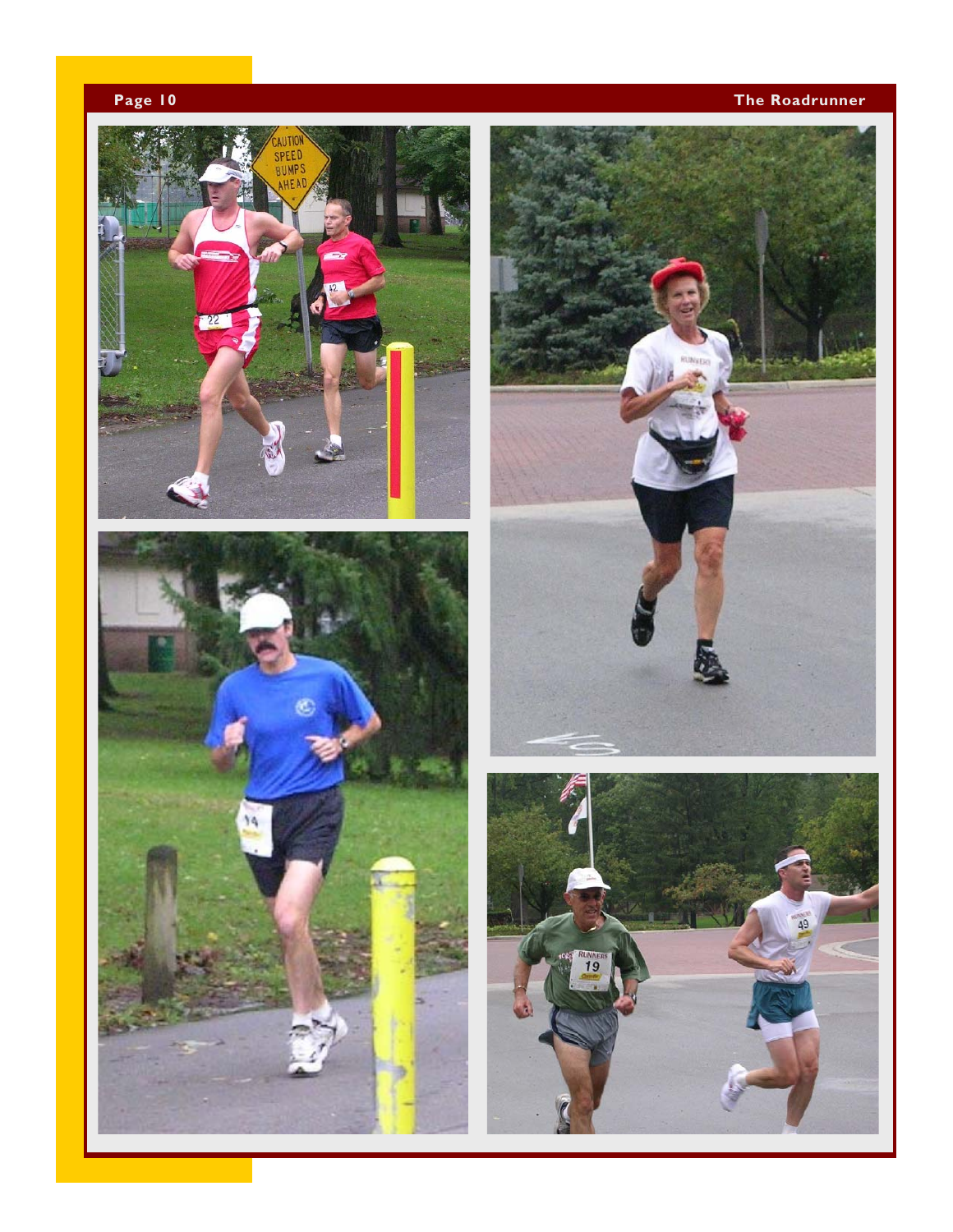## **Page 10** The Roadrunner





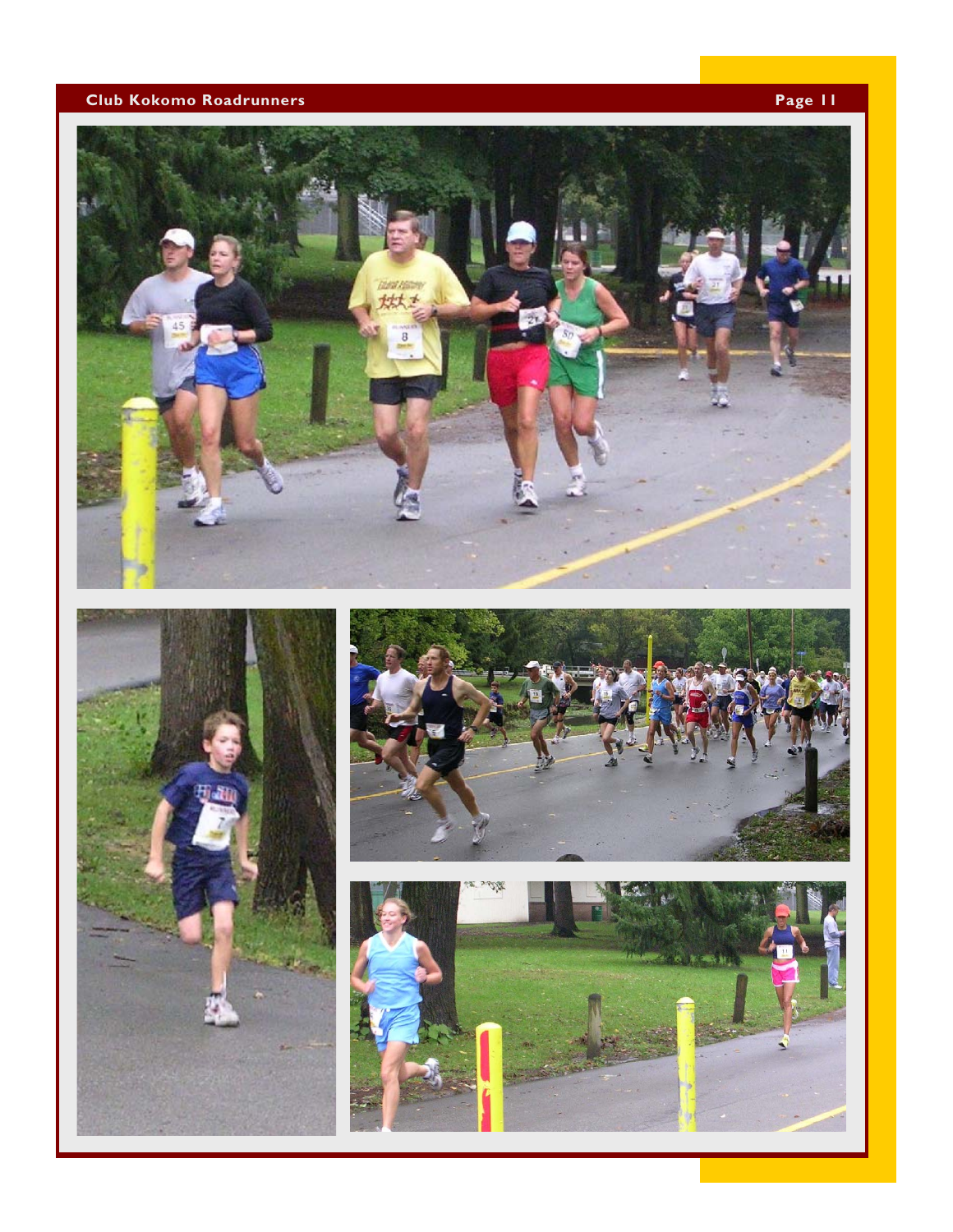## **Club Kokomo Roadrunners** Page 11 **Club Kokomo Roadrunners**